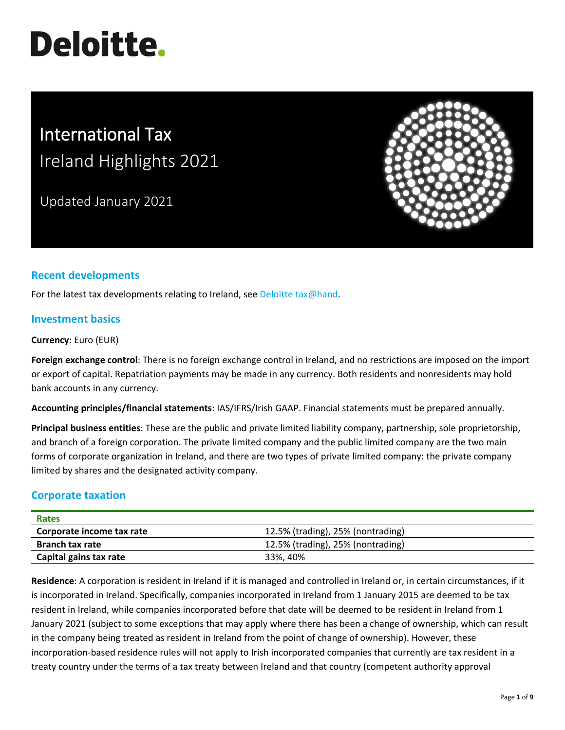# **Deloitte.**

# International Tax Ireland Highlights 2021

Updated January 2021



# **Recent developments**

For the latest tax developments relating to Ireland, se[e Deloitte tax@hand.](https://www.taxathand.com/world-news/Ireland)

#### **Investment basics**

**Currency**: Euro (EUR)

**Foreign exchange control**: There is no foreign exchange control in Ireland, and no restrictions are imposed on the import or export of capital. Repatriation payments may be made in any currency. Both residents and nonresidents may hold bank accounts in any currency.

**Accounting principles/financial statements**: IAS/IFRS/Irish GAAP. Financial statements must be prepared annually.

**Principal business entities**: These are the public and private limited liability company, partnership, sole proprietorship, and branch of a foreign corporation. The private limited company and the public limited company are the two main forms of corporate organization in Ireland, and there are two types of private limited company: the private company limited by shares and the designated activity company.

## **Corporate taxation**

| Rates                     |                                   |  |
|---------------------------|-----------------------------------|--|
| Corporate income tax rate | 12.5% (trading), 25% (nontrading) |  |
| <b>Branch tax rate</b>    | 12.5% (trading), 25% (nontrading) |  |
| Capital gains tax rate    | 33%, 40%                          |  |

**Residence**: A corporation is resident in Ireland if it is managed and controlled in Ireland or, in certain circumstances, if it is incorporated in Ireland. Specifically, companies incorporated in Ireland from 1 January 2015 are deemed to be tax resident in Ireland, while companies incorporated before that date will be deemed to be resident in Ireland from 1 January 2021 (subject to some exceptions that may apply where there has been a change of ownership, which can result in the company being treated as resident in Ireland from the point of change of ownership). However, these incorporation-based residence rules will not apply to Irish incorporated companies that currently are tax resident in a treaty country under the terms of a tax treaty between Ireland and that country (competent authority approval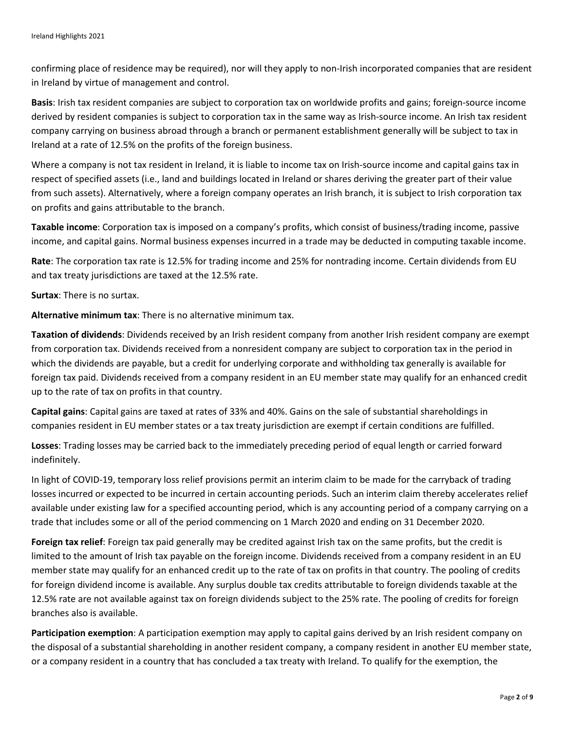confirming place of residence may be required), nor will they apply to non-Irish incorporated companies that are resident in Ireland by virtue of management and control.

**Basis**: Irish tax resident companies are subject to corporation tax on worldwide profits and gains; foreign-source income derived by resident companies is subject to corporation tax in the same way as Irish-source income. An Irish tax resident company carrying on business abroad through a branch or permanent establishment generally will be subject to tax in Ireland at a rate of 12.5% on the profits of the foreign business.

Where a company is not tax resident in Ireland, it is liable to income tax on Irish-source income and capital gains tax in respect of specified assets (i.e., land and buildings located in Ireland or shares deriving the greater part of their value from such assets). Alternatively, where a foreign company operates an Irish branch, it is subject to Irish corporation tax on profits and gains attributable to the branch.

**Taxable income**: Corporation tax is imposed on a company's profits, which consist of business/trading income, passive income, and capital gains. Normal business expenses incurred in a trade may be deducted in computing taxable income.

**Rate**: The corporation tax rate is 12.5% for trading income and 25% for nontrading income. Certain dividends from EU and tax treaty jurisdictions are taxed at the 12.5% rate.

**Surtax**: There is no surtax.

**Alternative minimum tax**: There is no alternative minimum tax.

**Taxation of dividends**: Dividends received by an Irish resident company from another Irish resident company are exempt from corporation tax. Dividends received from a nonresident company are subject to corporation tax in the period in which the dividends are payable, but a credit for underlying corporate and withholding tax generally is available for foreign tax paid. Dividends received from a company resident in an EU member state may qualify for an enhanced credit up to the rate of tax on profits in that country.

**Capital gains**: Capital gains are taxed at rates of 33% and 40%. Gains on the sale of substantial shareholdings in companies resident in EU member states or a tax treaty jurisdiction are exempt if certain conditions are fulfilled.

**Losses**: Trading losses may be carried back to the immediately preceding period of equal length or carried forward indefinitely.

In light of COVID-19, temporary loss relief provisions permit an interim claim to be made for the carryback of trading losses incurred or expected to be incurred in certain accounting periods. Such an interim claim thereby accelerates relief available under existing law for a specified accounting period, which is any accounting period of a company carrying on a trade that includes some or all of the period commencing on 1 March 2020 and ending on 31 December 2020.

**Foreign tax relief**: Foreign tax paid generally may be credited against Irish tax on the same profits, but the credit is limited to the amount of Irish tax payable on the foreign income. Dividends received from a company resident in an EU member state may qualify for an enhanced credit up to the rate of tax on profits in that country. The pooling of credits for foreign dividend income is available. Any surplus double tax credits attributable to foreign dividends taxable at the 12.5% rate are not available against tax on foreign dividends subject to the 25% rate. The pooling of credits for foreign branches also is available.

**Participation exemption**: A participation exemption may apply to capital gains derived by an Irish resident company on the disposal of a substantial shareholding in another resident company, a company resident in another EU member state, or a company resident in a country that has concluded a tax treaty with Ireland. To qualify for the exemption, the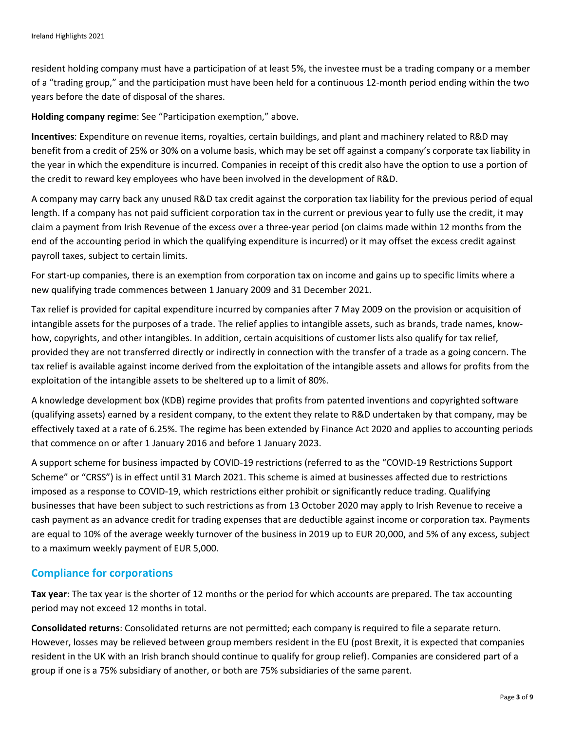resident holding company must have a participation of at least 5%, the investee must be a trading company or a member of a "trading group," and the participation must have been held for a continuous 12-month period ending within the two years before the date of disposal of the shares.

**Holding company regime**: See "Participation exemption," above.

**Incentives**: Expenditure on revenue items, royalties, certain buildings, and plant and machinery related to R&D may benefit from a credit of 25% or 30% on a volume basis, which may be set off against a company's corporate tax liability in the year in which the expenditure is incurred. Companies in receipt of this credit also have the option to use a portion of the credit to reward key employees who have been involved in the development of R&D.

A company may carry back any unused R&D tax credit against the corporation tax liability for the previous period of equal length. If a company has not paid sufficient corporation tax in the current or previous year to fully use the credit, it may claim a payment from Irish Revenue of the excess over a three-year period (on claims made within 12 months from the end of the accounting period in which the qualifying expenditure is incurred) or it may offset the excess credit against payroll taxes, subject to certain limits.

For start-up companies, there is an exemption from corporation tax on income and gains up to specific limits where a new qualifying trade commences between 1 January 2009 and 31 December 2021.

Tax relief is provided for capital expenditure incurred by companies after 7 May 2009 on the provision or acquisition of intangible assets for the purposes of a trade. The relief applies to intangible assets, such as brands, trade names, knowhow, copyrights, and other intangibles. In addition, certain acquisitions of customer lists also qualify for tax relief, provided they are not transferred directly or indirectly in connection with the transfer of a trade as a going concern. The tax relief is available against income derived from the exploitation of the intangible assets and allows for profits from the exploitation of the intangible assets to be sheltered up to a limit of 80%.

A knowledge development box (KDB) regime provides that profits from patented inventions and copyrighted software (qualifying assets) earned by a resident company, to the extent they relate to R&D undertaken by that company, may be effectively taxed at a rate of 6.25%. The regime has been extended by Finance Act 2020 and applies to accounting periods that commence on or after 1 January 2016 and before 1 January 2023.

A support scheme for business impacted by COVID-19 restrictions (referred to as the "COVID-19 Restrictions Support Scheme" or "CRSS") is in effect until 31 March 2021. This scheme is aimed at businesses affected due to restrictions imposed as a response to COVID-19, which restrictions either prohibit or significantly reduce trading. Qualifying businesses that have been subject to such restrictions as from 13 October 2020 may apply to Irish Revenue to receive a cash payment as an advance credit for trading expenses that are deductible against income or corporation tax. Payments are equal to 10% of the average weekly turnover of the business in 2019 up to EUR 20,000, and 5% of any excess, subject to a maximum weekly payment of EUR 5,000.

## **Compliance for corporations**

**Tax year**: The tax year is the shorter of 12 months or the period for which accounts are prepared. The tax accounting period may not exceed 12 months in total.

**Consolidated returns**: Consolidated returns are not permitted; each company is required to file a separate return. However, losses may be relieved between group members resident in the EU (post Brexit, it is expected that companies resident in the UK with an Irish branch should continue to qualify for group relief). Companies are considered part of a group if one is a 75% subsidiary of another, or both are 75% subsidiaries of the same parent.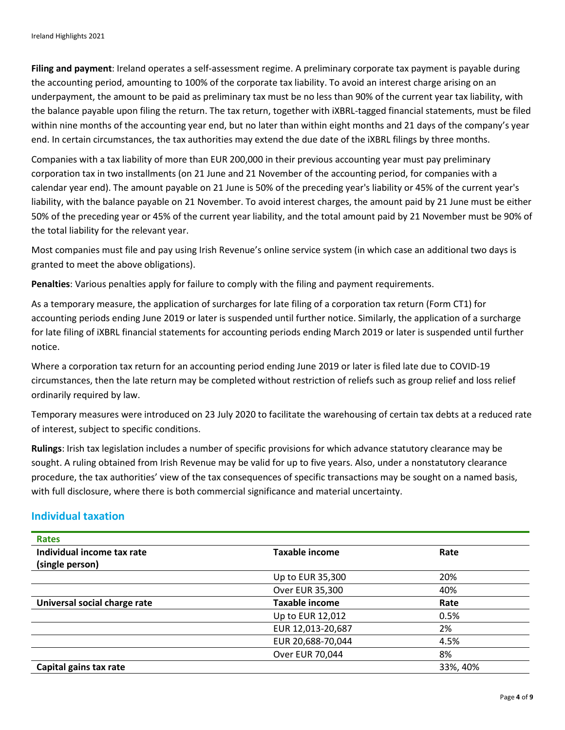**Filing and payment**: Ireland operates a self-assessment regime. A preliminary corporate tax payment is payable during the accounting period, amounting to 100% of the corporate tax liability. To avoid an interest charge arising on an underpayment, the amount to be paid as preliminary tax must be no less than 90% of the current year tax liability, with the balance payable upon filing the return. The tax return, together with iXBRL-tagged financial statements, must be filed within nine months of the accounting year end, but no later than within eight months and 21 days of the company's year end. In certain circumstances, the tax authorities may extend the due date of the iXBRL filings by three months.

Companies with a tax liability of more than EUR 200,000 in their previous accounting year must pay preliminary corporation tax in two installments (on 21 June and 21 November of the accounting period, for companies with a calendar year end). The amount payable on 21 June is 50% of the preceding year's liability or 45% of the current year's liability, with the balance payable on 21 November. To avoid interest charges, the amount paid by 21 June must be either 50% of the preceding year or 45% of the current year liability, and the total amount paid by 21 November must be 90% of the total liability for the relevant year.

Most companies must file and pay using Irish Revenue's online service system (in which case an additional two days is granted to meet the above obligations).

**Penalties**: Various penalties apply for failure to comply with the filing and payment requirements.

As a temporary measure, the application of surcharges for late filing of a corporation tax return (Form CT1) for accounting periods ending June 2019 or later is suspended until further notice. Similarly, the application of a surcharge for late filing of iXBRL financial statements for accounting periods ending March 2019 or later is suspended until further notice.

Where a corporation tax return for an accounting period ending June 2019 or later is filed late due to COVID-19 circumstances, then the late return may be completed without restriction of reliefs such as group relief and loss relief ordinarily required by law.

Temporary measures were introduced on 23 July 2020 to facilitate the warehousing of certain tax debts at a reduced rate of interest, subject to specific conditions.

**Rulings**: Irish tax legislation includes a number of specific provisions for which advance statutory clearance may be sought. A ruling obtained from Irish Revenue may be valid for up to five years. Also, under a nonstatutory clearance procedure, the tax authorities' view of the tax consequences of specific transactions may be sought on a named basis, with full disclosure, where there is both commercial significance and material uncertainty.

## **Individual taxation**

| <b>Rates</b>                 |                       |          |
|------------------------------|-----------------------|----------|
| Individual income tax rate   | <b>Taxable income</b> | Rate     |
| (single person)              |                       |          |
|                              | Up to EUR 35,300      | 20%      |
|                              | Over EUR 35,300       | 40%      |
| Universal social charge rate | <b>Taxable income</b> | Rate     |
|                              | Up to EUR 12,012      | 0.5%     |
|                              | EUR 12,013-20,687     | 2%       |
|                              | EUR 20,688-70,044     | 4.5%     |
|                              | Over EUR 70,044       | 8%       |
| Capital gains tax rate       |                       | 33%, 40% |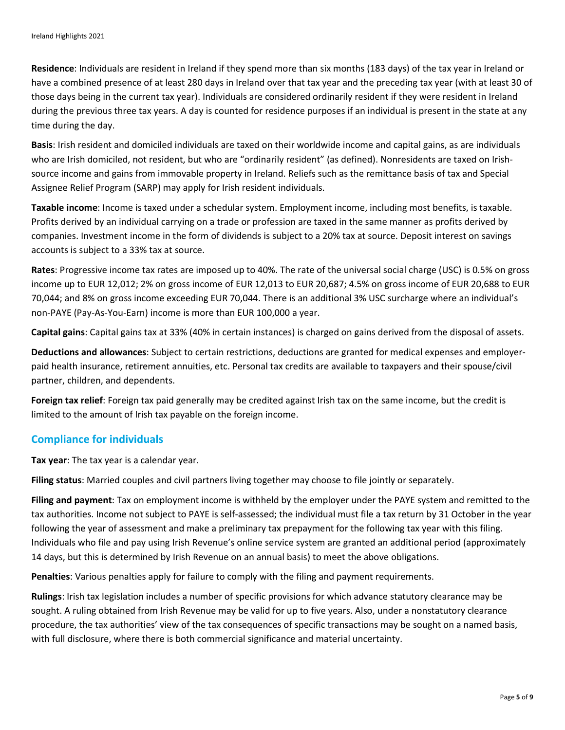**Residence**: Individuals are resident in Ireland if they spend more than six months (183 days) of the tax year in Ireland or have a combined presence of at least 280 days in Ireland over that tax year and the preceding tax year (with at least 30 of those days being in the current tax year). Individuals are considered ordinarily resident if they were resident in Ireland during the previous three tax years. A day is counted for residence purposes if an individual is present in the state at any time during the day.

**Basis**: Irish resident and domiciled individuals are taxed on their worldwide income and capital gains, as are individuals who are Irish domiciled, not resident, but who are "ordinarily resident" (as defined). Nonresidents are taxed on Irishsource income and gains from immovable property in Ireland. Reliefs such as the remittance basis of tax and Special Assignee Relief Program (SARP) may apply for Irish resident individuals.

**Taxable income**: Income is taxed under a schedular system. Employment income, including most benefits, is taxable. Profits derived by an individual carrying on a trade or profession are taxed in the same manner as profits derived by companies. Investment income in the form of dividends is subject to a 20% tax at source. Deposit interest on savings accounts is subject to a 33% tax at source.

**Rates**: Progressive income tax rates are imposed up to 40%. The rate of the universal social charge (USC) is 0.5% on gross income up to EUR 12,012; 2% on gross income of EUR 12,013 to EUR 20,687; 4.5% on gross income of EUR 20,688 to EUR 70,044; and 8% on gross income exceeding EUR 70,044. There is an additional 3% USC surcharge where an individual's non-PAYE (Pay-As-You-Earn) income is more than EUR 100,000 a year.

**Capital gains**: Capital gains tax at 33% (40% in certain instances) is charged on gains derived from the disposal of assets.

**Deductions and allowances**: Subject to certain restrictions, deductions are granted for medical expenses and employerpaid health insurance, retirement annuities, etc. Personal tax credits are available to taxpayers and their spouse/civil partner, children, and dependents.

**Foreign tax relief**: Foreign tax paid generally may be credited against Irish tax on the same income, but the credit is limited to the amount of Irish tax payable on the foreign income.

## **Compliance for individuals**

**Tax year**: The tax year is a calendar year.

**Filing status**: Married couples and civil partners living together may choose to file jointly or separately.

**Filing and payment**: Tax on employment income is withheld by the employer under the PAYE system and remitted to the tax authorities. Income not subject to PAYE is self-assessed; the individual must file a tax return by 31 October in the year following the year of assessment and make a preliminary tax prepayment for the following tax year with this filing. Individuals who file and pay using Irish Revenue's online service system are granted an additional period (approximately 14 days, but this is determined by Irish Revenue on an annual basis) to meet the above obligations.

**Penalties**: Various penalties apply for failure to comply with the filing and payment requirements.

**Rulings**: Irish tax legislation includes a number of specific provisions for which advance statutory clearance may be sought. A ruling obtained from Irish Revenue may be valid for up to five years. Also, under a nonstatutory clearance procedure, the tax authorities' view of the tax consequences of specific transactions may be sought on a named basis, with full disclosure, where there is both commercial significance and material uncertainty.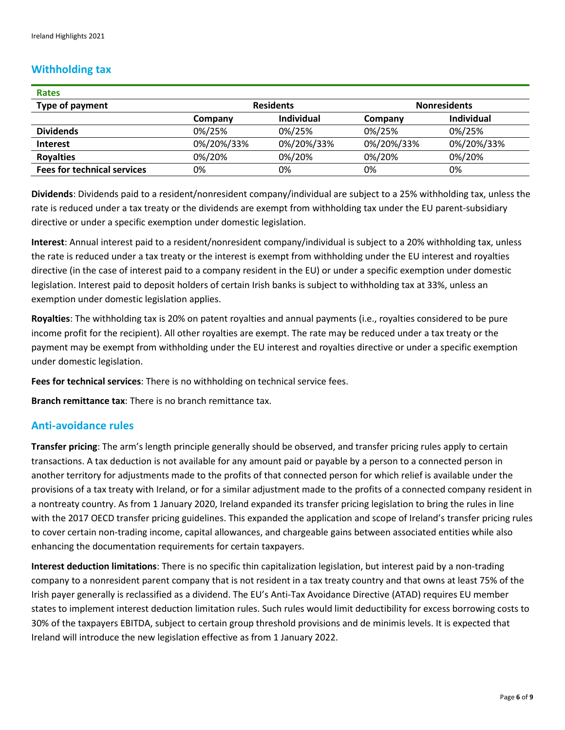## **Withholding tax**

| <b>Rates</b>                       |                  |                   |                     |                   |
|------------------------------------|------------------|-------------------|---------------------|-------------------|
| Type of payment                    | <b>Residents</b> |                   | <b>Nonresidents</b> |                   |
|                                    | Company          | <b>Individual</b> | Company             | <b>Individual</b> |
| <b>Dividends</b>                   | 0%/25%           | 0%/25%            | 0%/25%              | 0%/25%            |
| <b>Interest</b>                    | 0%/20%/33%       | 0%/20%/33%        | 0%/20%/33%          | 0%/20%/33%        |
| <b>Royalties</b>                   | 0%/20%           | 0%/20%            | 0%/20%              | 0%/20%            |
| <b>Fees for technical services</b> | 0%               | 0%                | 0%                  | 0%                |

**Dividends**: Dividends paid to a resident/nonresident company/individual are subject to a 25% withholding tax, unless the rate is reduced under a tax treaty or the dividends are exempt from withholding tax under the EU parent-subsidiary directive or under a specific exemption under domestic legislation.

**Interest**: Annual interest paid to a resident/nonresident company/individual is subject to a 20% withholding tax, unless the rate is reduced under a tax treaty or the interest is exempt from withholding under the EU interest and royalties directive (in the case of interest paid to a company resident in the EU) or under a specific exemption under domestic legislation. Interest paid to deposit holders of certain Irish banks is subject to withholding tax at 33%, unless an exemption under domestic legislation applies.

**Royalties**: The withholding tax is 20% on patent royalties and annual payments (i.e., royalties considered to be pure income profit for the recipient). All other royalties are exempt. The rate may be reduced under a tax treaty or the payment may be exempt from withholding under the EU interest and royalties directive or under a specific exemption under domestic legislation.

**Fees for technical services**: There is no withholding on technical service fees.

**Branch remittance tax**: There is no branch remittance tax.

#### **Anti-avoidance rules**

**Transfer pricing**: The arm's length principle generally should be observed, and transfer pricing rules apply to certain transactions. A tax deduction is not available for any amount paid or payable by a person to a connected person in another territory for adjustments made to the profits of that connected person for which relief is available under the provisions of a tax treaty with Ireland, or for a similar adjustment made to the profits of a connected company resident in a nontreaty country. As from 1 January 2020, Ireland expanded its transfer pricing legislation to bring the rules in line with the 2017 OECD transfer pricing guidelines. This expanded the application and scope of Ireland's transfer pricing rules to cover certain non-trading income, capital allowances, and chargeable gains between associated entities while also enhancing the documentation requirements for certain taxpayers.

**Interest deduction limitations**: There is no specific thin capitalization legislation, but interest paid by a non-trading company to a nonresident parent company that is not resident in a tax treaty country and that owns at least 75% of the Irish payer generally is reclassified as a dividend. The EU's Anti-Tax Avoidance Directive (ATAD) requires EU member states to implement interest deduction limitation rules. Such rules would limit deductibility for excess borrowing costs to 30% of the taxpayers EBITDA, subject to certain group threshold provisions and de minimis levels. It is expected that Ireland will introduce the new legislation effective as from 1 January 2022.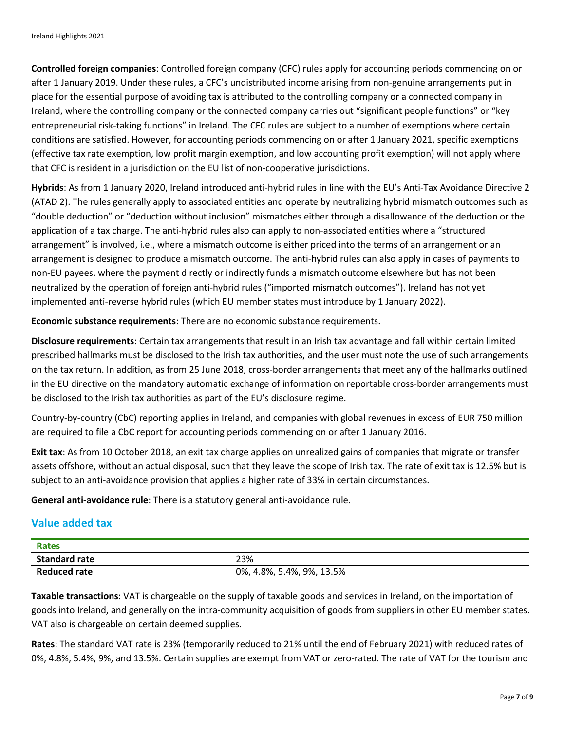**Controlled foreign companies**: Controlled foreign company (CFC) rules apply for accounting periods commencing on or after 1 January 2019. Under these rules, a CFC's undistributed income arising from non-genuine arrangements put in place for the essential purpose of avoiding tax is attributed to the controlling company or a connected company in Ireland, where the controlling company or the connected company carries out "significant people functions" or "key entrepreneurial risk-taking functions" in Ireland. The CFC rules are subject to a number of exemptions where certain conditions are satisfied. However, for accounting periods commencing on or after 1 January 2021, specific exemptions (effective tax rate exemption, low profit margin exemption, and low accounting profit exemption) will not apply where that CFC is resident in a jurisdiction on the EU list of non-cooperative jurisdictions.

**Hybrids**: As from 1 January 2020, Ireland introduced anti-hybrid rules in line with the EU's Anti-Tax Avoidance Directive 2 (ATAD 2). The rules generally apply to associated entities and operate by neutralizing hybrid mismatch outcomes such as "double deduction" or "deduction without inclusion" mismatches either through a disallowance of the deduction or the application of a tax charge. The anti-hybrid rules also can apply to non-associated entities where a "structured arrangement" is involved, i.e., where a mismatch outcome is either priced into the terms of an arrangement or an arrangement is designed to produce a mismatch outcome. The anti-hybrid rules can also apply in cases of payments to non-EU payees, where the payment directly or indirectly funds a mismatch outcome elsewhere but has not been neutralized by the operation of foreign anti-hybrid rules ("imported mismatch outcomes"). Ireland has not yet implemented anti-reverse hybrid rules (which EU member states must introduce by 1 January 2022).

**Economic substance requirements**: There are no economic substance requirements.

**Disclosure requirements**: Certain tax arrangements that result in an Irish tax advantage and fall within certain limited prescribed hallmarks must be disclosed to the Irish tax authorities, and the user must note the use of such arrangements on the tax return. In addition, as from 25 June 2018, cross-border arrangements that meet any of the hallmarks outlined in the EU directive on the mandatory automatic exchange of information on reportable cross-border arrangements must be disclosed to the Irish tax authorities as part of the EU's disclosure regime.

Country-by-country (CbC) reporting applies in Ireland, and companies with global revenues in excess of EUR 750 million are required to file a CbC report for accounting periods commencing on or after 1 January 2016.

**Exit tax**: As from 10 October 2018, an exit tax charge applies on unrealized gains of companies that migrate or transfer assets offshore, without an actual disposal, such that they leave the scope of Irish tax. The rate of exit tax is 12.5% but is subject to an anti-avoidance provision that applies a higher rate of 33% in certain circumstances.

**General anti-avoidance rule**: There is a statutory general anti-avoidance rule.

## **Value added tax**

| Rates                |                           |
|----------------------|---------------------------|
| <b>Standard rate</b> | 23%                       |
| <b>Reduced rate</b>  | 0%, 4.8%, 5.4%, 9%, 13.5% |

**Taxable transactions**: VAT is chargeable on the supply of taxable goods and services in Ireland, on the importation of goods into Ireland, and generally on the intra-community acquisition of goods from suppliers in other EU member states. VAT also is chargeable on certain deemed supplies.

**Rates**: The standard VAT rate is 23% (temporarily reduced to 21% until the end of February 2021) with reduced rates of 0%, 4.8%, 5.4%, 9%, and 13.5%. Certain supplies are exempt from VAT or zero-rated. The rate of VAT for the tourism and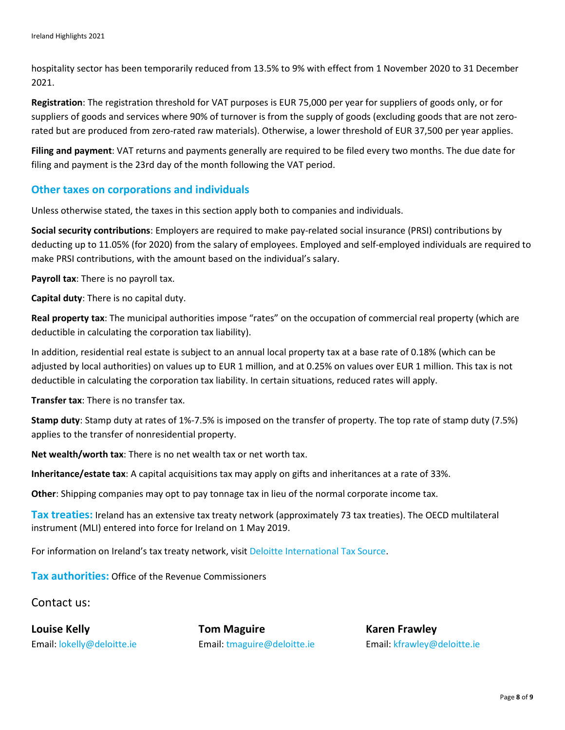hospitality sector has been temporarily reduced from 13.5% to 9% with effect from 1 November 2020 to 31 December 2021.

**Registration**: The registration threshold for VAT purposes is EUR 75,000 per year for suppliers of goods only, or for suppliers of goods and services where 90% of turnover is from the supply of goods (excluding goods that are not zerorated but are produced from zero-rated raw materials). Otherwise, a lower threshold of EUR 37,500 per year applies.

**Filing and payment**: VAT returns and payments generally are required to be filed every two months. The due date for filing and payment is the 23rd day of the month following the VAT period.

#### **Other taxes on corporations and individuals**

Unless otherwise stated, the taxes in this section apply both to companies and individuals.

**Social security contributions**: Employers are required to make pay-related social insurance (PRSI) contributions by deducting up to 11.05% (for 2020) from the salary of employees. Employed and self-employed individuals are required to make PRSI contributions, with the amount based on the individual's salary.

**Payroll tax**: There is no payroll tax.

**Capital duty**: There is no capital duty.

**Real property tax**: The municipal authorities impose "rates" on the occupation of commercial real property (which are deductible in calculating the corporation tax liability).

In addition, residential real estate is subject to an annual local property tax at a base rate of 0.18% (which can be adjusted by local authorities) on values up to EUR 1 million, and at 0.25% on values over EUR 1 million. This tax is not deductible in calculating the corporation tax liability. In certain situations, reduced rates will apply.

**Transfer tax**: There is no transfer tax.

**Stamp duty**: Stamp duty at rates of 1%-7.5% is imposed on the transfer of property. The top rate of stamp duty (7.5%) applies to the transfer of nonresidential property.

**Net wealth/worth tax**: There is no net wealth tax or net worth tax.

**Inheritance/estate tax**: A capital acquisitions tax may apply on gifts and inheritances at a rate of 33%.

**Other**: Shipping companies may opt to pay tonnage tax in lieu of the normal corporate income tax.

**Tax treaties:** Ireland has an extensive tax treaty network (approximately 73 tax treaties). The OECD multilateral instrument (MLI) entered into force for Ireland on 1 May 2019.

For information on Ireland's tax treaty network, visi[t Deloitte International Tax Source.](https://www.dits.deloitte.com/#Jurisdiction/10)

**Tax authorities:** Office of the Revenue Commissioners

Contact us:

**Louise Kelly Tom Maguire Karen Frawley** Email: [lokelly@deloitte.ie](mailto:lokelly@deloitte.ie) Email: [tmaguire@deloitte.ie](mailto:tmaguire@deloitte.ie) Email: [kfrawley@deloitte.ie](mailto:kfrawley@deloitte.ie)